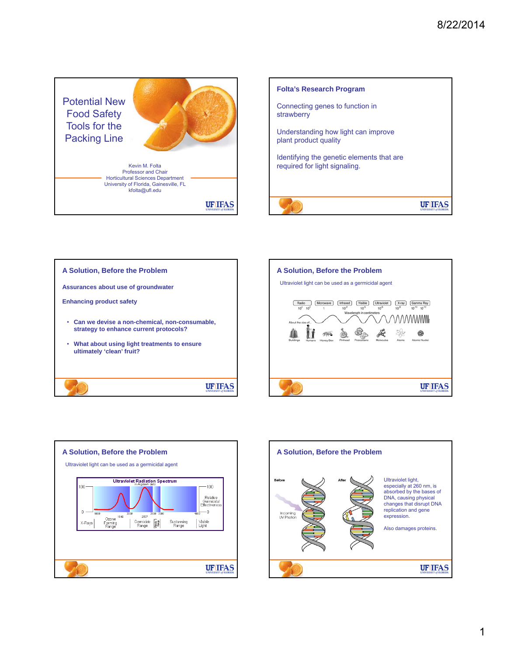Potential New Food Safety Tools for the Packing Line Kevin M. Folta Professor and Chair Horticultural Sciences Department University of Florida, Gainesville, FL

**UF IFAS** 





kfolta@ufl.edu





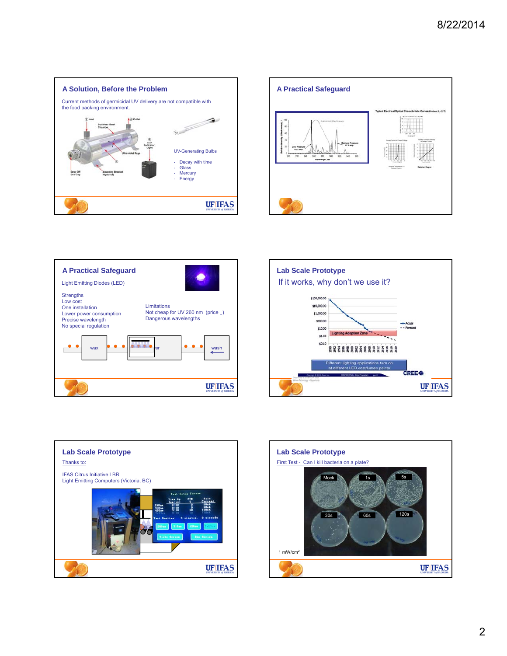









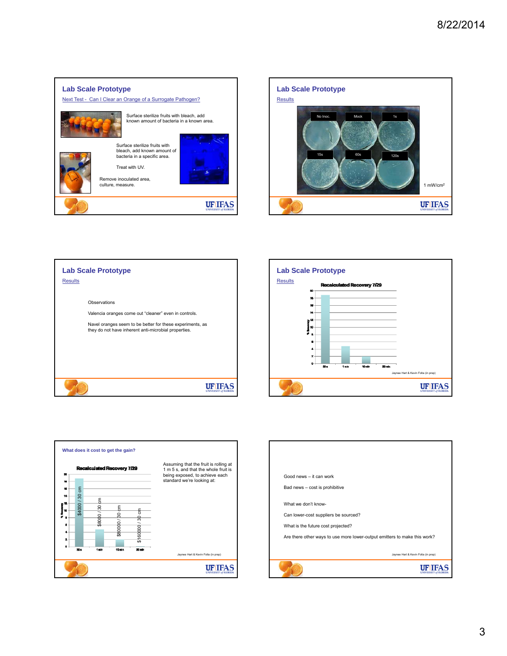